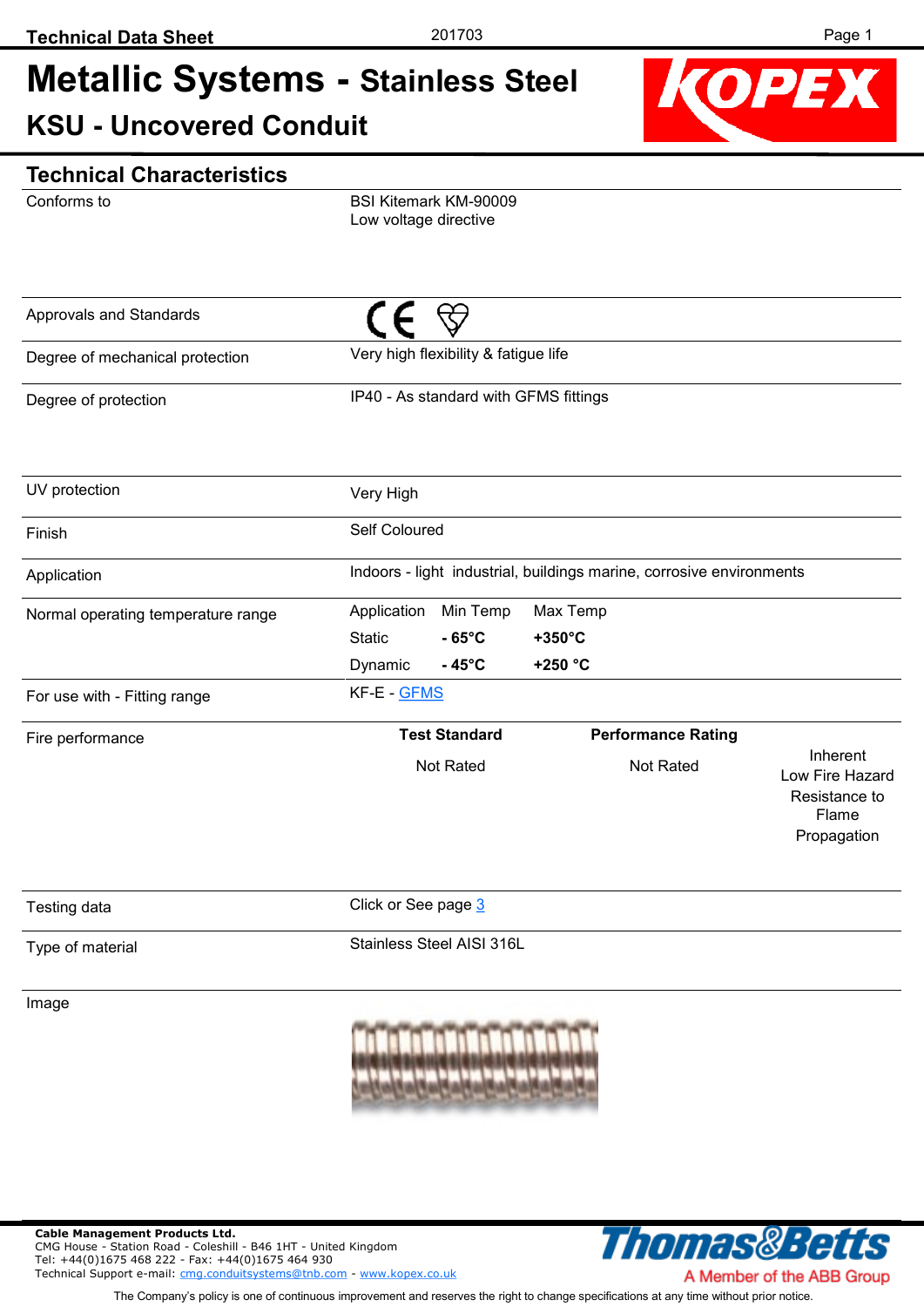## **Metallic Systems - Stainless Steel KSU - Uncovered Conduit**



### **Technical Characteristics**

Conforms to

BSI Kitemark KM-90009 Low voltage directive

| Approvals and Standards            |                                                                                           |                                                                      |                                                                      |  |  |  |  |
|------------------------------------|-------------------------------------------------------------------------------------------|----------------------------------------------------------------------|----------------------------------------------------------------------|--|--|--|--|
| Degree of mechanical protection    | Very high flexibility & fatigue life                                                      |                                                                      |                                                                      |  |  |  |  |
| Degree of protection               | IP40 - As standard with GFMS fittings                                                     |                                                                      |                                                                      |  |  |  |  |
| UV protection                      | Very High                                                                                 |                                                                      |                                                                      |  |  |  |  |
| Finish                             | Self Coloured                                                                             |                                                                      |                                                                      |  |  |  |  |
| Application                        |                                                                                           | Indoors - light industrial, buildings marine, corrosive environments |                                                                      |  |  |  |  |
| Normal operating temperature range | Min Temp<br>Application<br>$-65^{\circ}$ C<br><b>Static</b><br>Dynamic<br>$-45^{\circ}$ C | Max Temp<br>$+350^{\circ}$ C<br>+250 °C                              |                                                                      |  |  |  |  |
| For use with - Fitting range       | KF-E - GFMS                                                                               |                                                                      |                                                                      |  |  |  |  |
| Fire performance                   | <b>Test Standard</b><br>Not Rated                                                         | <b>Performance Rating</b><br>Not Rated                               | Inherent<br>Low Fire Hazard<br>Resistance to<br>Flame<br>Propagation |  |  |  |  |
| Testing data                       | Click or See page 3                                                                       |                                                                      |                                                                      |  |  |  |  |
| Type of material                   | Stainless Steel AISI 316L                                                                 |                                                                      |                                                                      |  |  |  |  |

Image



**Cable Management Products Ltd.**  CMG House - Station Road - Coleshill - B46 1HT - United Kingdom Tel: +44(0)1675 468 222 - Fax: +44(0)1675 464 930 Technical Support e-mail: [cmg.conduitsystems@tnb.com](mailto:cmg.conduitsystems@tnb.com?subject=Data%20Sheet%20-%20Technical%20Support) - [www.kopex.co.uk](http://www.kopex.co.uk)



The Company's policy is one of continuous improvement and reserves the right to change specifications at any time without prior notice.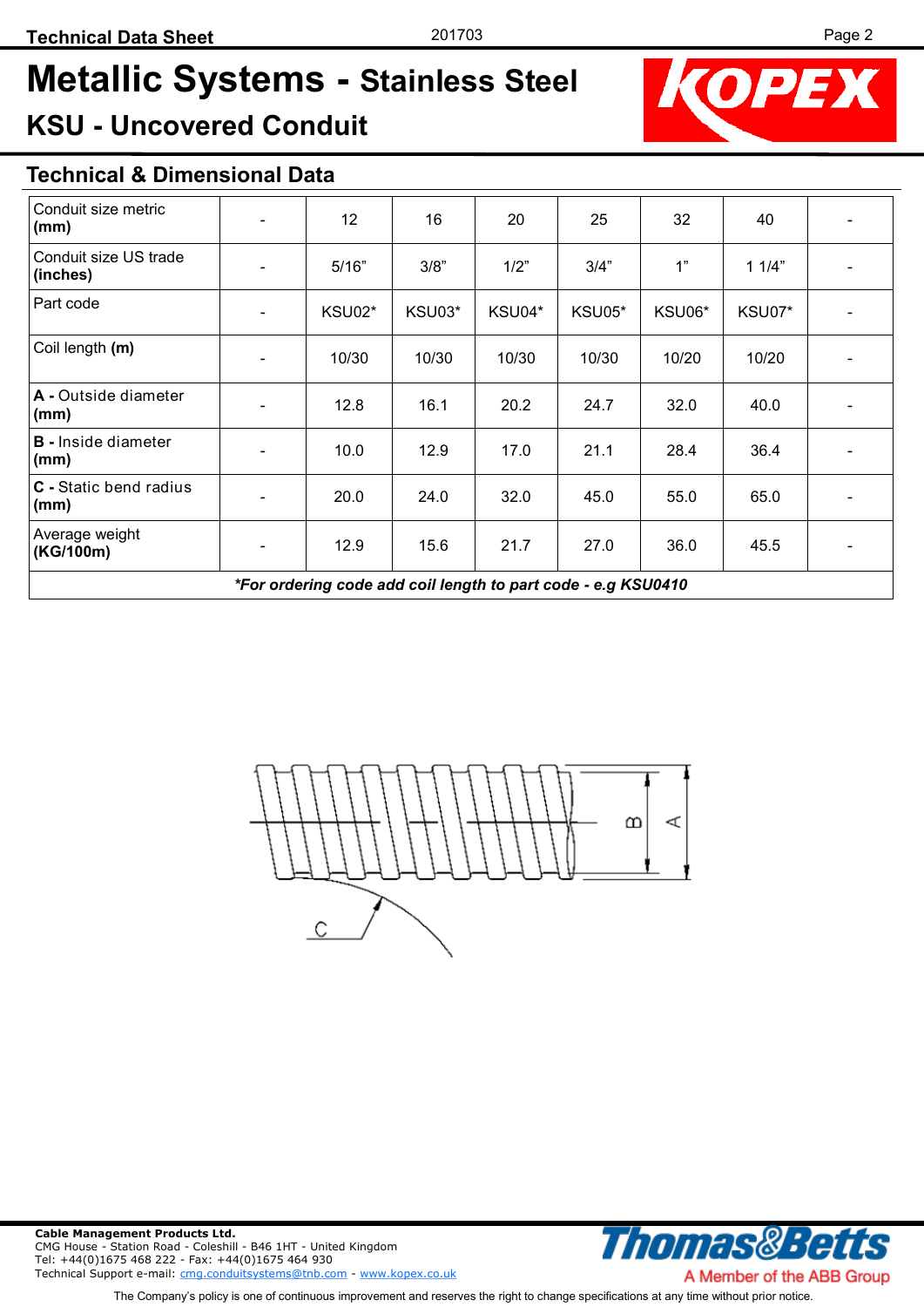# **Metallic Systems - Stainless Steel KSU - Uncovered Conduit**



## **Technical & Dimensional Data**

| Conduit size metric<br>(mm)                                   | $\overline{\phantom{a}}$     | 12     | 16     | 20     | 25     | 32     | 40     |  |  |
|---------------------------------------------------------------|------------------------------|--------|--------|--------|--------|--------|--------|--|--|
| Conduit size US trade<br>(inches)                             | $\overline{\phantom{a}}$     | 5/16"  | 3/8"   | 1/2"   | 3/4"   | 1"     | 11/4"  |  |  |
| Part code                                                     | $\overline{\phantom{a}}$     | KSU02* | KSU03* | KSU04* | KSU05* | KSU06* | KSU07* |  |  |
| Coil length (m)                                               | $\overline{\phantom{a}}$     | 10/30  | 10/30  | 10/30  | 10/30  | 10/20  | 10/20  |  |  |
| A - Outside diameter<br>(mm)                                  | $\overline{\phantom{a}}$     | 12.8   | 16.1   | 20.2   | 24.7   | 32.0   | 40.0   |  |  |
| <b>B</b> - Inside diameter<br>(mm)                            | $\qquad \qquad \blacksquare$ | 10.0   | 12.9   | 17.0   | 21.1   | 28.4   | 36.4   |  |  |
| <b>C</b> - Static bend radius<br>(mm)                         | $\overline{\phantom{a}}$     | 20.0   | 24.0   | 32.0   | 45.0   | 55.0   | 65.0   |  |  |
| Average weight<br>(KG/100m)                                   | $\overline{\phantom{a}}$     | 12.9   | 15.6   | 21.7   | 27.0   | 36.0   | 45.5   |  |  |
| *For ordering code add coil length to part code - e.g KSU0410 |                              |        |        |        |        |        |        |  |  |